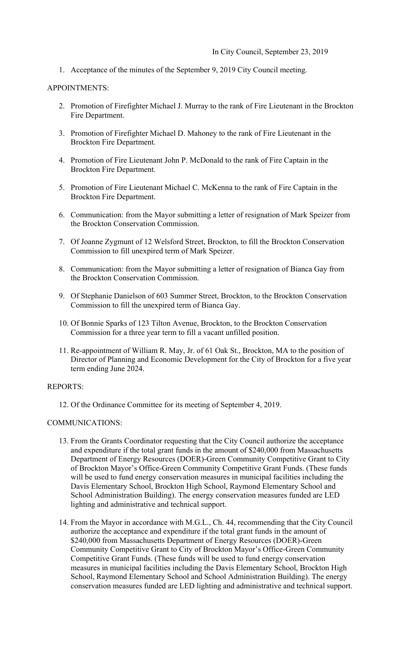1. Acceptance of the minutes of the September 9, 2019 City Council meeting.

### APPOINTMENTS:

- 2. Promotion of Firefighter Michael J. Murray to the rank of Fire Lieutenant in the Brockton Fire Department.
- 3. Promotion of Firefighter Michael D. Mahoney to the rank of Fire Lieutenant in the Brockton Fire Department.
- 4. Promotion of Fire Lieutenant John P. McDonald to the rank of Fire Captain in the Brockton Fire Department.
- 5. Promotion of Fire Lieutenant Michael C. McKenna to the rank of Fire Captain in the Brockton Fire Department.
- 6. Communication: from the Mayor submitting a letter of resignation of Mark Speizer from the Brockton Conservation Commission.
- 7. Of Joanne Zygmunt of 12 Welsford Street, Brockton, to fill the Brockton Conservation Commission to fill unexpired term of Mark Speizer.
- 8. Communication: from the Mayor submitting a letter of resignation of Bianca Gay from the Brockton Conservation Commission.
- 9. Of Stephanie Danielson of 603 Summer Street, Brockton, to the Brockton Conservation Commission to fill the unexpired term of Bianca Gay.
- 10. Of Bonnie Sparks of 123 Tilton Avenue, Brockton, to the Brockton Conservation Commission for a three year term to fill a vacant unfilled position.
- 11. Re-appointment of William R. May, Jr. of 61 Oak St., Brockton, MA to the position of Director of Planning and Economic Development for the City of Brockton for a five year term ending June 2024.

# REPORTS:

12. Of the Ordinance Committee for its meeting of September 4, 2019.

#### COMMUNICATIONS:

- 13. From the Grants Coordinator requesting that the City Council authorize the acceptance and expenditure if the total grant funds in the amount of \$240,000 from Massachusetts Department of Energy Resources (DOER)-Green Community Competitive Grant to City of Brockton Mayor's Office-Green Community Competitive Grant Funds. (These funds will be used to fund energy conservation measures in municipal facilities including the Davis Elementary School, Brockton High School, Raymond Elementary School and School Administration Building). The energy conservation measures funded are LED lighting and administrative and technical support.
- 14. From the Mayor in accordance with M.G.L., Ch. 44, recommending that the City Council authorize the acceptance and expenditure if the total grant funds in the amount of \$240,000 from Massachusetts Department of Energy Resources (DOER)-Green Community Competitive Grant to City of Brockton Mayor's Office-Green Community Competitive Grant Funds. (These funds will be used to fund energy conservation measures in municipal facilities including the Davis Elementary School, Brockton High School, Raymond Elementary School and School Administration Building). The energy conservation measures funded are LED lighting and administrative and technical support.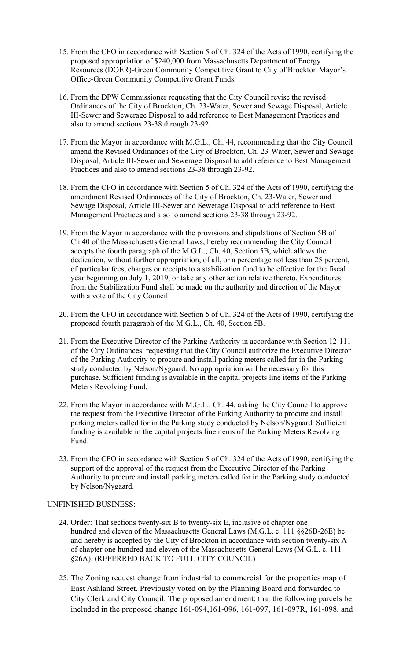- 15. From the CFO in accordance with Section 5 of Ch. 324 of the Acts of 1990, certifying the proposed appropriation of \$240,000 from Massachusetts Department of Energy Resources (DOER)-Green Community Competitive Grant to City of Brockton Mayor's Office-Green Community Competitive Grant Funds.
- 16. From the DPW Commissioner requesting that the City Council revise the revised Ordinances of the City of Brockton, Ch. 23-Water, Sewer and Sewage Disposal, Article III-Sewer and Sewerage Disposal to add reference to Best Management Practices and also to amend sections 23-38 through 23-92.
- 17. From the Mayor in accordance with M.G.L., Ch. 44, recommending that the City Council amend the Revised Ordinances of the City of Brockton, Ch. 23-Water, Sewer and Sewage Disposal, Article III-Sewer and Sewerage Disposal to add reference to Best Management Practices and also to amend sections 23-38 through 23-92.
- 18. From the CFO in accordance with Section 5 of Ch. 324 of the Acts of 1990, certifying the amendment Revised Ordinances of the City of Brockton, Ch. 23-Water, Sewer and Sewage Disposal, Article III-Sewer and Sewerage Disposal to add reference to Best Management Practices and also to amend sections 23-38 through 23-92.
- 19. From the Mayor in accordance with the provisions and stipulations of Section 5B of Ch.40 of the Massachusetts General Laws, hereby recommending the City Council accepts the fourth paragraph of the M.G.L., Ch. 40, Section 5B, which allows the dedication, without further appropriation, of all, or a percentage not less than 25 percent, of particular fees, charges or receipts to a stabilization fund to be effective for the fiscal year beginning on July 1, 2019, or take any other action relative thereto. Expenditures from the Stabilization Fund shall be made on the authority and direction of the Mayor with a vote of the City Council.
- 20. From the CFO in accordance with Section 5 of Ch. 324 of the Acts of 1990, certifying the proposed fourth paragraph of the M.G.L., Ch. 40, Section 5B.
- 21. From the Executive Director of the Parking Authority in accordance with Section 12-111 of the City Ordinances, requesting that the City Council authorize the Executive Director of the Parking Authority to procure and install parking meters called for in the Parking study conducted by Nelson/Nygaard. No appropriation will be necessary for this purchase. Sufficient funding is available in the capital projects line items of the Parking Meters Revolving Fund.
- 22. From the Mayor in accordance with M.G.L., Ch. 44, asking the City Council to approve the request from the Executive Director of the Parking Authority to procure and install parking meters called for in the Parking study conducted by Nelson/Nygaard. Sufficient funding is available in the capital projects line items of the Parking Meters Revolving Fund.
- 23. From the CFO in accordance with Section 5 of Ch. 324 of the Acts of 1990, certifying the support of the approval of the request from the Executive Director of the Parking Authority to procure and install parking meters called for in the Parking study conducted by Nelson/Nygaard.

# UNFINISHED BUSINESS:

- 24. Order: That sections twenty-six B to twenty-six E, inclusive of chapter one hundred and eleven of the Massachusetts General Laws (M.G.L. c. 111 §§26B-26E) be and hereby is accepted by the City of Brockton in accordance with section twenty-six A of chapter one hundred and eleven of the Massachusetts General Laws (M.G.L. c. 111 §26A). (REFERRED BACK TO FULL CITY COUNCIL)
- 25. The Zoning request change from industrial to commercial for the properties map of East Ashland Street. Previously voted on by the Planning Board and forwarded to City Clerk and City Council. The proposed amendment; that the following parcels be included in the proposed change 161-094,161-096, 161-097, 161-097R, 161-098, and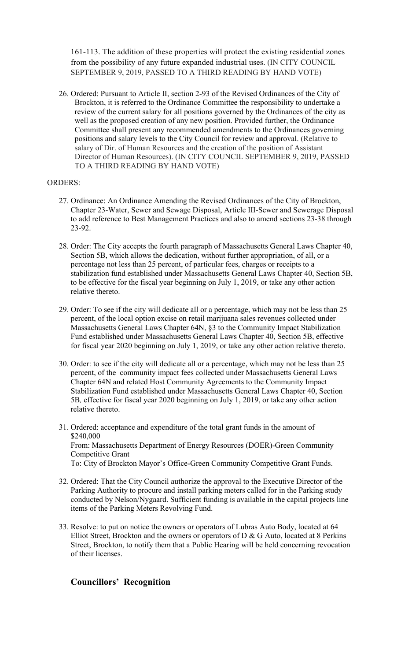161-113. The addition of these properties will protect the existing residential zones from the possibility of any future expanded industrial uses. (IN CITY COUNCIL SEPTEMBER 9, 2019, PASSED TO A THIRD READING BY HAND VOTE)

 review of the current salary for all positions governed by the Ordinances of the city as 26. Ordered: Pursuant to Article II, section 2-93 of the Revised Ordinances of the City of Brockton, it is referred to the Ordinance Committee the responsibility to undertake a well as the proposed creation of any new position. Provided further, the Ordinance Committee shall present any recommended amendments to the Ordinances governing positions and salary levels to the City Council for review and approval. (Relative to salary of Dir. of Human Resources and the creation of the position of Assistant Director of Human Resources). (IN CITY COUNCIL SEPTEMBER 9, 2019, PASSED TO A THIRD READING BY HAND VOTE)

### ORDERS:

- 27. Ordinance: An Ordinance Amending the Revised Ordinances of the City of Brockton, Chapter 23-Water, Sewer and Sewage Disposal, Article III-Sewer and Sewerage Disposal to add reference to Best Management Practices and also to amend sections 23-38 through 23-92.
- 28. Order: The City accepts the fourth paragraph of Massachusetts General Laws Chapter 40, Section 5B, which allows the dedication, without further appropriation, of all, or a percentage not less than 25 percent, of particular fees, charges or receipts to a stabilization fund established under Massachusetts General Laws Chapter 40, Section 5B, to be effective for the fiscal year beginning on July 1, 2019, or take any other action relative thereto.
- 29. Order: To see if the city will dedicate all or a percentage, which may not be less than 25 percent, of the local option excise on retail marijuana sales revenues collected under Massachusetts General Laws Chapter 64N, §3 to the Community Impact Stabilization Fund established under Massachusetts General Laws Chapter 40, Section 5B, effective for fiscal year 2020 beginning on July 1, 2019, or take any other action relative thereto.
- 30. Order: to see if the city will dedicate all or a percentage, which may not be less than 25 percent, of the community impact fees collected under Massachusetts General Laws Chapter 64N and related Host Community Agreements to the Community Impact Stabilization Fund established under Massachusetts General Laws Chapter 40, Section 5B*,* effective for fiscal year 2020 beginning on July 1, 2019, or take any other action relative thereto.
- 31. Ordered: acceptance and expenditure of the total grant funds in the amount of \$240,000 From: Massachusetts Department of Energy Resources (DOER)-Green Community Competitive Grant To: City of Brockton Mayor's Office-Green Community Competitive Grant Funds.
- 32. Ordered: That the City Council authorize the approval to the Executive Director of the Parking Authority to procure and install parking meters called for in the Parking study conducted by Nelson/Nygaard. Sufficient funding is available in the capital projects line items of the Parking Meters Revolving Fund.
- 33. Resolve: to put on notice the owners or operators of Lubras Auto Body, located at 64 Elliot Street, Brockton and the owners or operators of  $D & G$  Auto, located at 8 Perkins Street, Brockton, to notify them that a Public Hearing will be held concerning revocation of their licenses.

# **Councillors' Recognition**